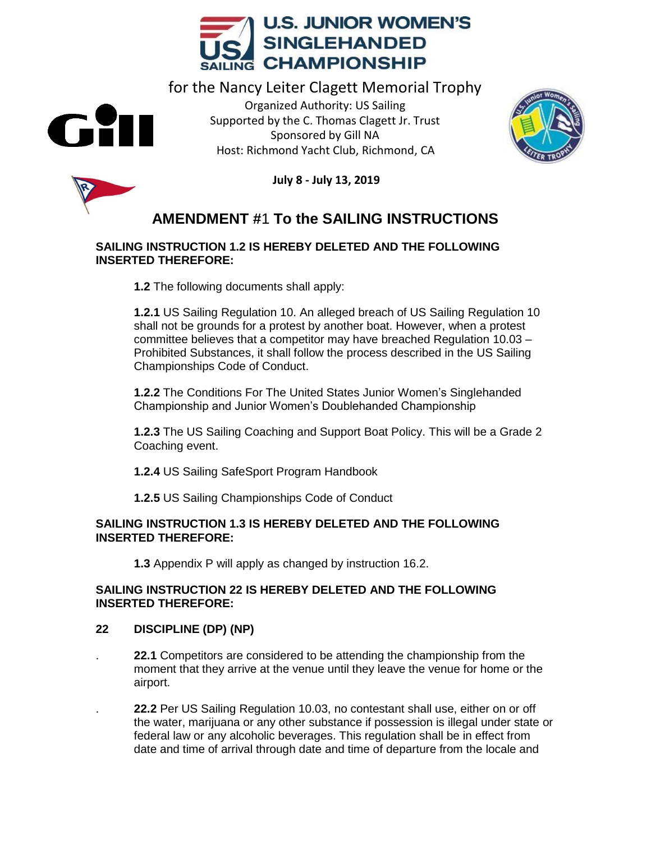

for the Nancy Leiter Clagett Memorial Trophy Organized Authority: US Sailing Supported by the C. Thomas Clagett Jr. Trust Sponsored by Gill NA Host: Richmond Yacht Club, Richmond, CA





**July 8 - July 13, 2019**

# **AMENDMENT #**1 **To the SAILING INSTRUCTIONS**

#### **SAILING INSTRUCTION 1.2 IS HEREBY DELETED AND THE FOLLOWING INSERTED THEREFORE:**

**1.2** The following documents shall apply:

**1.2.1** US Sailing Regulation 10. An alleged breach of US Sailing Regulation 10 shall not be grounds for a protest by another boat. However, when a protest committee believes that a competitor may have breached Regulation 10.03 – Prohibited Substances, it shall follow the process described in the US Sailing Championships Code of Conduct.

**1.2.2** The Conditions For The United States Junior Women's Singlehanded Championship and Junior Women's Doublehanded Championship

**1.2.3** The US Sailing Coaching and Support Boat Policy. This will be a Grade 2 Coaching event.

**1.2.4** US Sailing SafeSport Program Handbook

**1.2.5** US Sailing Championships Code of Conduct

### **SAILING INSTRUCTION 1.3 IS HEREBY DELETED AND THE FOLLOWING INSERTED THEREFORE:**

**1.3** Appendix P will apply as changed by instruction 16.2.

### **SAILING INSTRUCTION 22 IS HEREBY DELETED AND THE FOLLOWING INSERTED THEREFORE:**

## **22 DISCIPLINE (DP) (NP)**

. **22.1** Competitors are considered to be attending the championship from the moment that they arrive at the venue until they leave the venue for home or the airport.

. **22.2** Per US Sailing Regulation 10.03, no contestant shall use, either on or off the water, marijuana or any other substance if possession is illegal under state or federal law or any alcoholic beverages. This regulation shall be in effect from date and time of arrival through date and time of departure from the locale and